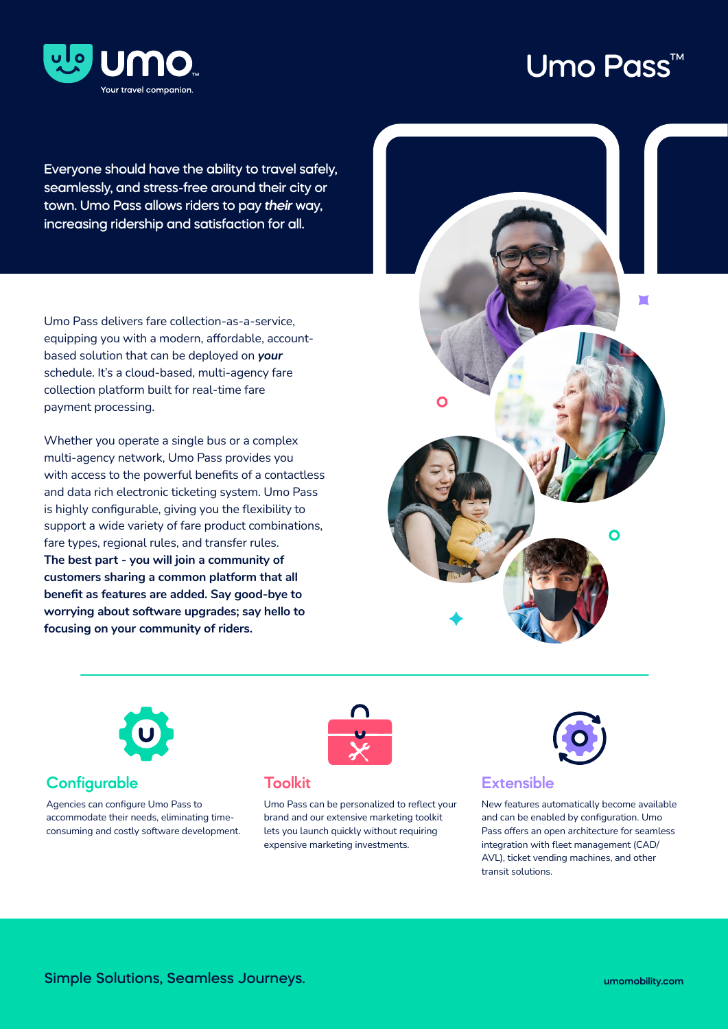

# Umo Pass™

Everyone should have the ability to travel safely, seamlessly, and stress-free around their city or town. Umo Pass allows riders to pay *their* way, increasing ridership and satisfaction for all.

Umo Pass delivers fare collection-as-a-service, equipping you with a modern, affordable, accountbased solution that can be deployed on *your* schedule. It's a cloud-based, multi-agency fare collection platform built for real-time fare payment processing.

Whether you operate a single bus or a complex multi-agency network, Umo Pass provides you with access to the powerful benefits of a contactless and data rich electronic ticketing system. Umo Pass is highly configurable, giving you the flexibility to support a wide variety of fare product combinations, fare types, regional rules, and transfer rules. **The best part - you will join a community of customers sharing a common platform that all benefit as features are added. Say good-bye to worrying about software upgrades; say hello to focusing on your community of riders.**





### **Configurable**

Agencies can configure Umo Pass to accommodate their needs, eliminating timeconsuming and costly software development.



### **Toolkit**

Umo Pass can be personalized to reflect your brand and our extensive marketing toolkit lets you launch quickly without requiring expensive marketing investments.



### **Extensible**

New features automatically become available and can be enabled by configuration. Umo Pass offers an open architecture for seamless integration with fleet management (CAD/ AVL), ticket vending machines, and other transit solutions.